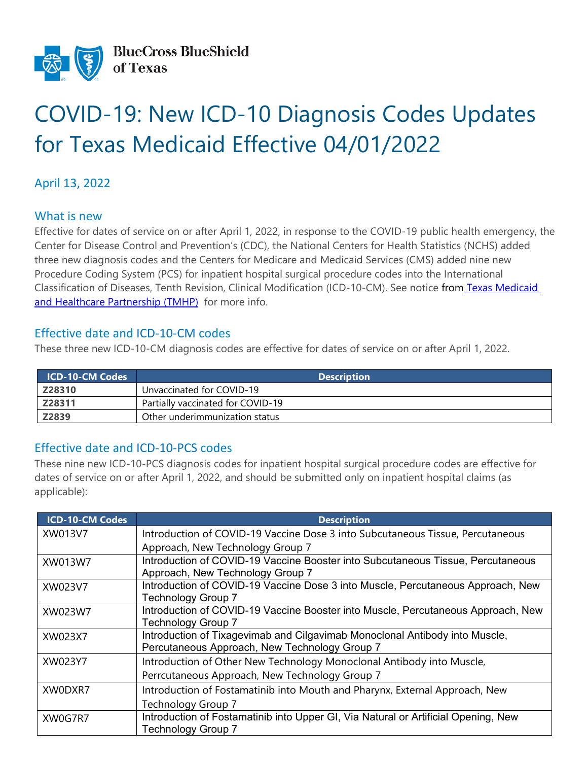

# COVID-19: New ICD-10 Diagnosis Codes Updates for Texas Medicaid Effective 04/01/2022

## April 13, 2022

#### What is new

Effective for dates of service on or after April 1, 2022, in response to the COVID-19 public health emergency, the Center for Disease Control and Prevention's (CDC), the National Centers for Health Statistics (NCHS) added three new diagnosis codes and the Centers for Medicare and Medicaid Services (CMS) added nine new Procedure Coding System (PCS) for inpatient hospital surgical procedure codes into the International Classification of Diseases, Tenth Revision, Clinical Modification (ICD-10-CM). See notice from [Texas Medicaid](https://www.tmhp.com/news/2022-03-21-new-covid-19-diagnosis-codes-and-inpatient-icd-10-pcs-procedure-codes-effective)  [and Healthcare Partnership \(TMHP\)](https://www.tmhp.com/news/2022-03-21-new-covid-19-diagnosis-codes-and-inpatient-icd-10-pcs-procedure-codes-effective) for more info.

### Effective date and ICD-10-CM codes

These three new ICD-10-CM diagnosis codes are effective for dates of service on or after April 1, 2022.

| <b>ICD-10-CM Codes</b> | <b>Description</b>                |
|------------------------|-----------------------------------|
| Z28310                 | Unvaccinated for COVID-19         |
| Z28311                 | Partially vaccinated for COVID-19 |
| Z2839                  | Other underimmunization status    |

### Effective date and ICD-10-PCS codes

These nine new ICD-10-PCS diagnosis codes for inpatient hospital surgical procedure codes are effective for dates of service on or after April 1, 2022, and should be submitted only on inpatient hospital claims (as applicable):

| <b>ICD-10-CM Codes</b> | <b>Description</b>                                                                 |
|------------------------|------------------------------------------------------------------------------------|
| XW013V7                | Introduction of COVID-19 Vaccine Dose 3 into Subcutaneous Tissue, Percutaneous     |
|                        | Approach, New Technology Group 7                                                   |
| XW013W7                | Introduction of COVID-19 Vaccine Booster into Subcutaneous Tissue, Percutaneous    |
|                        | Approach, New Technology Group 7                                                   |
| XW023V7                | Introduction of COVID-19 Vaccine Dose 3 into Muscle, Percutaneous Approach, New    |
|                        | <b>Technology Group 7</b>                                                          |
| XW023W7                | Introduction of COVID-19 Vaccine Booster into Muscle, Percutaneous Approach, New   |
|                        | <b>Technology Group 7</b>                                                          |
| XW023X7                | Introduction of Tixagevimab and Cilgavimab Monoclonal Antibody into Muscle,        |
|                        | Percutaneous Approach, New Technology Group 7                                      |
| XW023Y7                | Introduction of Other New Technology Monoclonal Antibody into Muscle,              |
|                        | Perrcutaneous Approach, New Technology Group 7                                     |
| XW0DXR7                | Introduction of Fostamatinib into Mouth and Pharynx, External Approach, New        |
|                        | Technology Group 7                                                                 |
| XW0G7R7                | Introduction of Fostamatinib into Upper GI, Via Natural or Artificial Opening, New |
|                        | <b>Technology Group 7</b>                                                          |